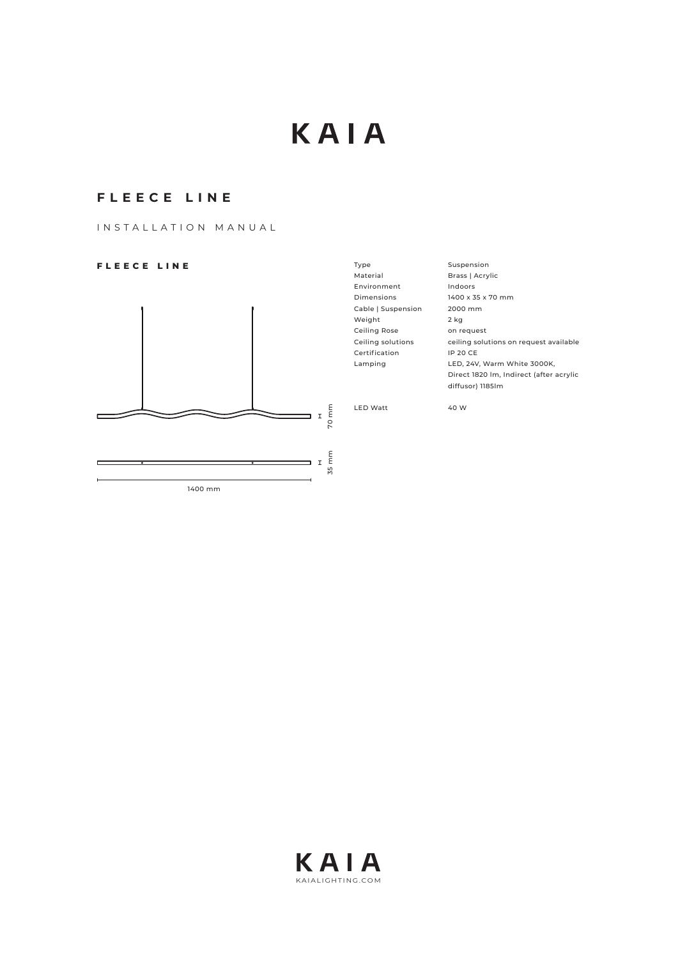# KAIA

# **FLEECE LINE**

INSTALLATION MANUAL

# **FLEECE LINE**



| Type                | Suspension                              |  |
|---------------------|-----------------------------------------|--|
| Material            | Brass   Acrylic                         |  |
| Environment         | Indoors                                 |  |
| Dimensions          | 1400 x 35 x 70 mm                       |  |
| Cable   Suspension  | 2000 mm                                 |  |
| Weight              | 2 kg                                    |  |
| <b>Ceiling Rose</b> | on request                              |  |
| Ceiling solutions   | ceiling solutions on request available  |  |
| Certification       | <b>IP 20 CE</b>                         |  |
| Lamping             | LED, 24V, Warm White 3000K,             |  |
|                     | Direct 1820 Im, Indirect (after acrylic |  |
|                     | diffusor) 11851m                        |  |
|                     |                                         |  |
| <b>LED Watt</b>     | 40 W                                    |  |
|                     |                                         |  |

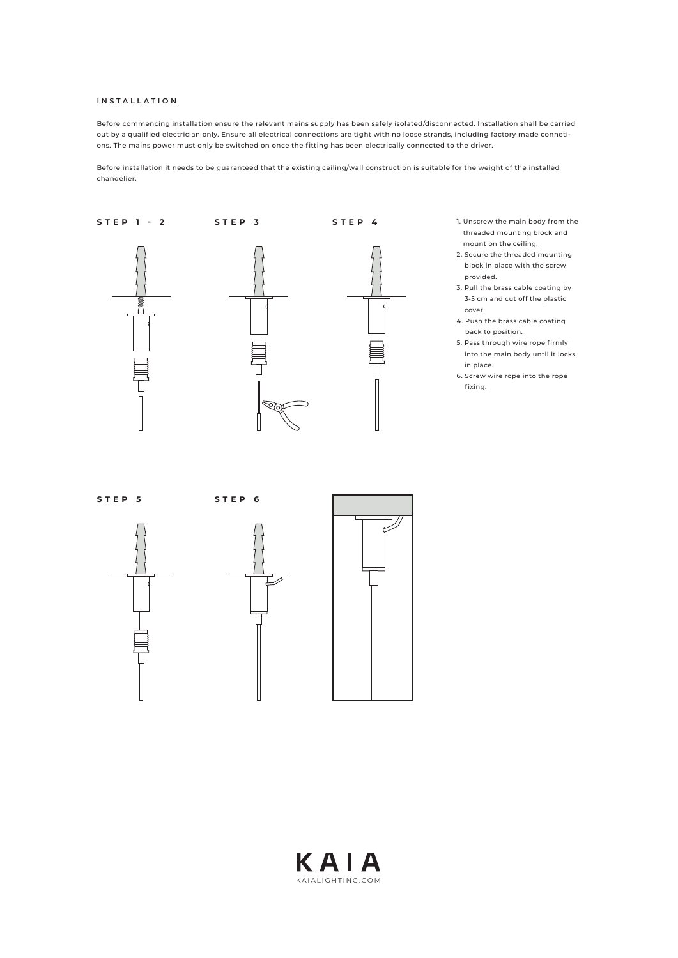#### **INSTALLATION**

Before commencing installation ensure the relevant mains supply has been safely isolated/disconnected. Installation shall be carried out by a qualified electrician only. Ensure all electrical connections are tight with no loose strands, including factory made connetions. The mains power must only be switched on once the fitting has been electrically connected to the driver.

Before installation it needs to be guaranteed that the existing ceiling/wall construction is suitable for the weight of the installed chandelier.



- 1. Unscrew the main body from the threaded mounting block and mount on the ceiling.
- 2. Secure the threaded mounting block in place with the screw provided.
- 3. Pull the brass cable coating by 3-5 cm and cut off the plastic cover.
- 4. Push the brass cable coating back to position.
- 5. Pass through wire rope firmly into the main body until it locks in place.
- 6. Screw wire rope into the rope fixing.







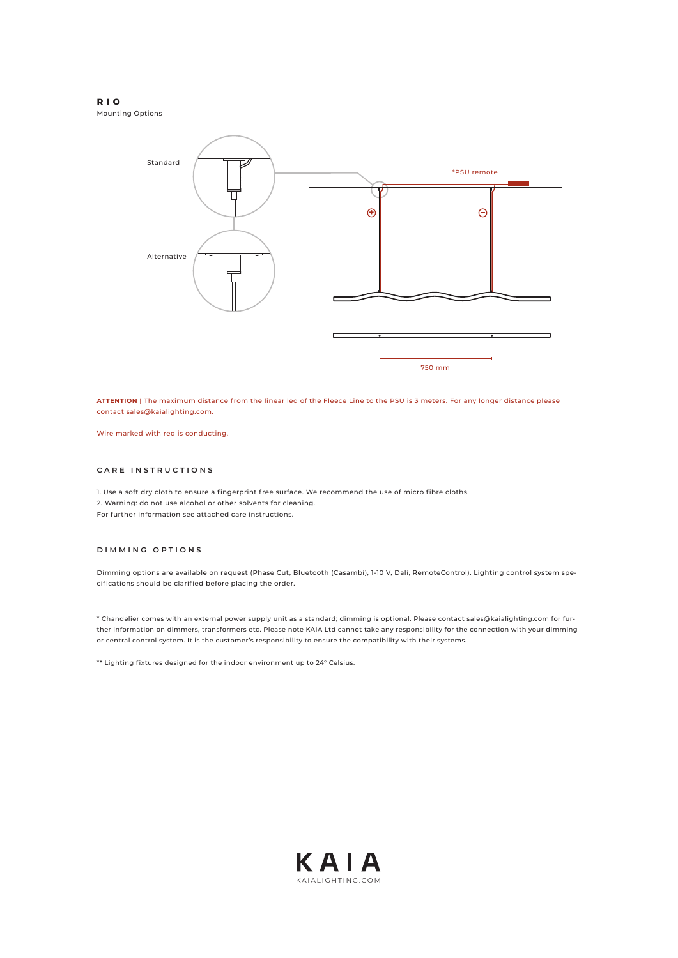#### **RIO**

Mounting Options



**ATTENTION |** The maximum distance from the linear led of the Fleece Line to the PSU is 3 meters. For any longer distance please contact sales@kaialighting.com.

Wire marked with red is conducting.

# **CARE INSTRUCTIONS**

1. Use a soft dry cloth to ensure a fingerprint free surface. We recommend the use of micro fibre cloths. 2. Warning: do not use alcohol or other solvents for cleaning. For further information see attached care instructions.

### **DIMMING OPTIONS**

Dimming options are available on request (Phase Cut, Bluetooth (Casambi), 1-10 V, Dali, RemoteControl). Lighting control system specifications should be clarified before placing the order.

\* Chandelier comes with an external power supply unit as a standard; dimming is optional. Please contact sales@kaialighting.com for further information on dimmers, transformers etc. Please note KAIA Ltd cannot take any responsibility for the connection with your dimming or central control system. It is the customer's responsibility to ensure the compatibility with their systems.

\*\* Lighting fixtures designed for the indoor environment up to 24° Celsius.

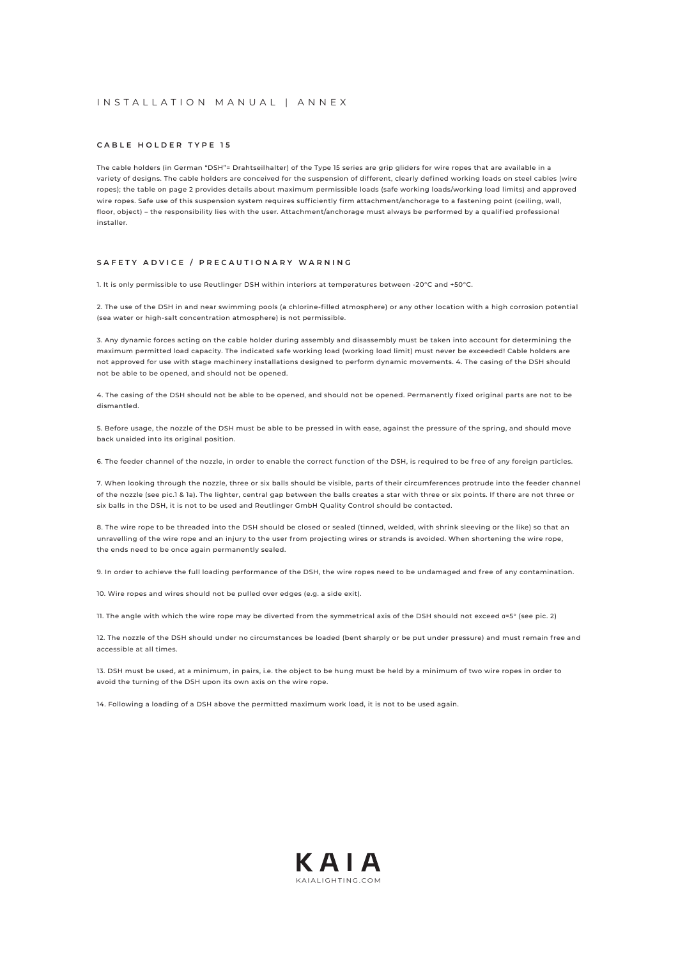## INSTALLATION MANUAL | ANNEX

#### **CABLE HOLDER TYPE 15**

The cable holders (in German "DSH"= Drahtseilhalter) of the Type 15 series are grip gliders for wire ropes that are available in a variety of designs. The cable holders are conceived for the suspension of different, clearly defined working loads on steel cables (wire ropes); the table on page 2 provides details about maximum permissible loads (safe working loads/working load limits) and approved wire ropes. Safe use of this suspension system requires sufficiently firm attachment/anchorage to a fastening point (ceiling, wall, floor, object) – the responsibility lies with the user. Attachment/anchorage must always be performed by a qualified professional installer.

#### **SAFETY ADVICE / PRECAUTIONARY WARNING**

1. It is only permissible to use Reutlinger DSH within interiors at temperatures between -20°C and +50°C.

2. The use of the DSH in and near swimming pools (a chlorine-filled atmosphere) or any other location with a high corrosion potential (sea water or high-salt concentration atmosphere) is not permissible.

3. Any dynamic forces acting on the cable holder during assembly and disassembly must be taken into account for determining the maximum permitted load capacity. The indicated safe working load (working load limit) must never be exceeded! Cable holders are not approved for use with stage machinery installations designed to perform dynamic movements. 4. The casing of the DSH should not be able to be opened, and should not be opened.

4. The casing of the DSH should not be able to be opened, and should not be opened. Permanently fixed original parts are not to be dismantled.

5. Before usage, the nozzle of the DSH must be able to be pressed in with ease, against the pressure of the spring, and should move back unaided into its original position.

6. The feeder channel of the nozzle, in order to enable the correct function of the DSH, is required to be free of any foreign particles.

7. When looking through the nozzle, three or six balls should be visible, parts of their circumferences protrude into the feeder channel of the nozzle (see pic.1 & 1a). The lighter, central gap between the balls creates a star with three or six points. If there are not three or six balls in the DSH, it is not to be used and Reutlinger GmbH Quality Control should be contacted.

8. The wire rope to be threaded into the DSH should be closed or sealed (tinned, welded, with shrink sleeving or the like) so that an unravelling of the wire rope and an injury to the user from projecting wires or strands is avoided. When shortening the wire rope, the ends need to be once again permanently sealed.

9. In order to achieve the full loading performance of the DSH, the wire ropes need to be undamaged and free of any contamination.

10. Wire ropes and wires should not be pulled over edges (e.g. a side exit).

11. The angle with which the wire rope may be diverted from the symmetrical axis of the DSH should not exceed α=5° (see pic. 2)

12. The nozzle of the DSH should under no circumstances be loaded (bent sharply or be put under pressure) and must remain free and accessible at all times.

13. DSH must be used, at a minimum, in pairs, i.e. the object to be hung must be held by a minimum of two wire ropes in order to avoid the turning of the DSH upon its own axis on the wire rope.

14. Following a loading of a DSH above the permitted maximum work load, it is not to be used again.

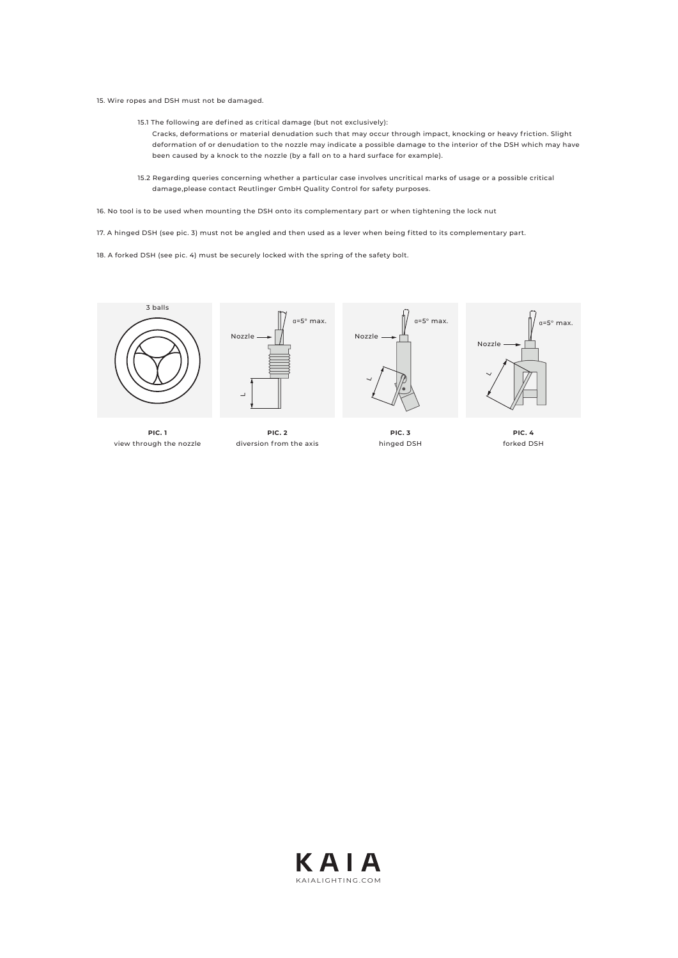15. Wire ropes and DSH must not be damaged.

- 15.1 The following are defined as critical damage (but not exclusively):
	- Cracks, deformations or material denudation such that may occur through impact, knocking or heavy friction. Slight deformation of or denudation to the nozzle may indicate a possible damage to the interior of the DSH which may have been caused by a knock to the nozzle (by a fall on to a hard surface for example).
- 15.2 Regarding queries concerning whether a particular case involves uncritical marks of usage or a possible critical damage,please contact Reutlinger GmbH Quality Control for safety purposes.

16. No tool is to be used when mounting the DSH onto its complementary part or when tightening the lock nut

17. A hinged DSH (see pic. 3) must not be angled and then used as a lever when being fitted to its complementary part.

18. A forked DSH (see pic. 4) must be securely locked with the spring of the safety bolt.



**PIC. 1**  view through the nozzle



**PIC. 2** diversion from the axis





**PIC. 3** hinged DSH



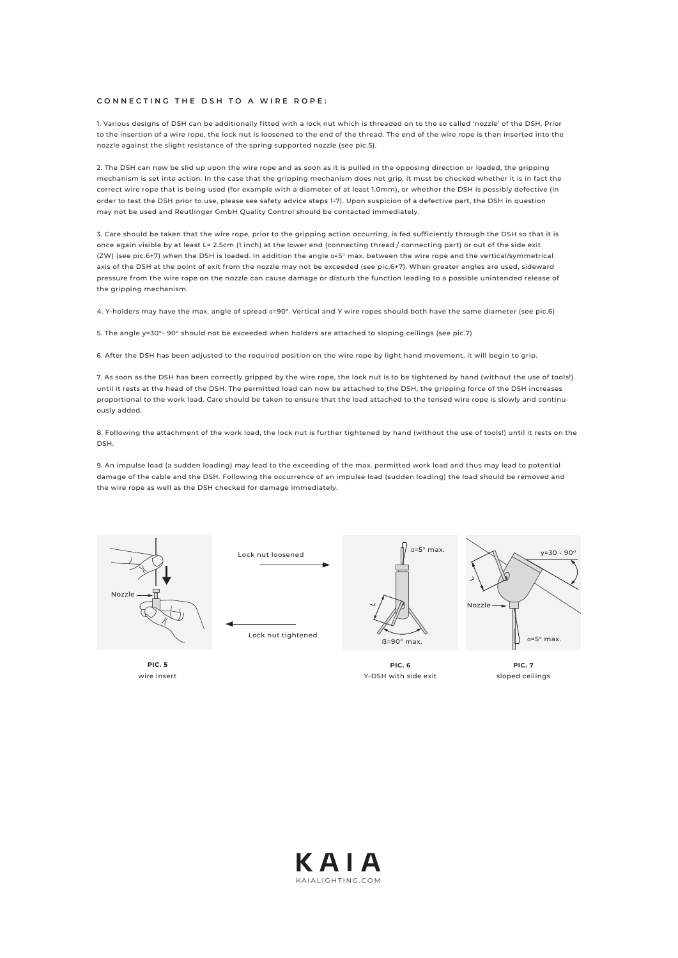#### **CONNECTING THE DSH TO A WIRE ROPE:**

1. Various designs of DSH can be additionally fitted with a lock nut which is threaded on to the so called 'nozzle' of the DSH. Prior to the insertion of a wire rope, the lock nut is loosened to the end of the thread. The end of the wire rope is then inserted into the nozzle against the slight resistance of the spring supported nozzle (see pic.5).

2. The DSH can now be slid up upon the wire rope and as soon as it is pulled in the opposing direction or loaded, the gripping mechanism is set into action. In the case that the gripping mechanism does not grip, it must be checked whether it is in fact the correct wire rope that is being used (for example with a diameter of at least 1.0mm), or whether the DSH is possibly defective (in order to test the DSH prior to use, please see safety advice steps 1-7). Upon suspicion of a defective part, the DSH in question may not be used and Reutlinger GmbH Quality Control should be contacted immediately.

3. Care should be taken that the wire rope, prior to the gripping action occurring, is fed sufficiently through the DSH so that it is once again visible by at least L= 2.5cm (1 inch) at the lower end (connecting thread / connecting part) or out of the side exit (ZW) (see pic.6+7) when the DSH is loaded. In addition the angle α=5° max. between the wire rope and the vertical/symmetrical axis of the DSH at the point of exit from the nozzle may not be exceeded (see pic.6+7). When greater angles are used, sideward pressure from the wire rope on the nozzle can cause damage or disturb the function leading to a possible unintended release of the gripping mechanism.

4. Y-holders may have the max. angle of spread α=90°. Vertical and Y wire ropes should both have the same diameter (see pic.6)

5. The angle у=30°- 90° should not be exceeded when holders are attached to sloping ceilings (see pic.7)

6. After the DSH has been adjusted to the required position on the wire rope by light hand movement, it will begin to grip.

7. As soon as the DSH has been correctly gripped by the wire rope, the lock nut is to be tightened by hand (without the use of tools!) until it rests at the head of the DSH. The permitted load can now be attached to the DSH, the gripping force of the DSH increases proportional to the work load. Care should be taken to ensure that the load attached to the tensed wire rope is slowly and continuously added.

8. Following the attachment of the work load, the lock nut is further tightened by hand (without the use of tools!) until it rests on the DSH.

9. An impulse load (a sudden loading) may lead to the exceeding of the max. permitted work load and thus may lead to potential damage of the cable and the DSH. Following the occurrence of an impulse load (sudden loading) the load should be removed and the wire rope as well as the DSH checked for damage immediately.



**PIC. 5**  wire insert





**PIC. 6** Y-DSH with side exit

α=5° max.



sloped ceilings